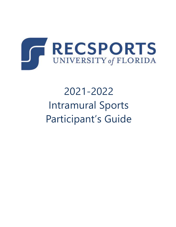

# 2021-2022 Intramural Sports Participant's Guide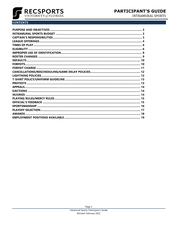

**INTRAMURAL SPORTS** 

# **CONTENTS**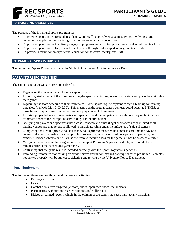

#### **FOCUS GROUPS** INTRAMURAL SPORTS

## <span id="page-2-0"></span>**PURPOSE AND OBJECTIVES**

The purpose of the intramural sports program is:

- To provide opportunities for students, faculty, and staff to actively engage in activities involving sport, recreation, and play while providing structure for an experiential education.
- To provide opportunities to actively engage in programs and activities promoting an enhanced quality of life.
- To provide opportunities for personal development through leadership, diversity, and teamwork.
- To provide a forum for an experiential education for students, faculty, and staff.

## <span id="page-2-1"></span>**INTRAMURAL SPORTS BUDGET**

<span id="page-2-2"></span>The Intramural Sports Program is funded by Student Government Activity & Service Fees.

#### **CAPTAIN'S RESPONSIBILITIES**

The captain and/or co-captain are responsible for:

- Registering the team and completing a captain's quiz.
- Informing his/her team of the rules governing the specific activities, as well as the time and place they will play their games.
- Explaining the team schedule to their teammates. Some sports require captains to sign a team up for rotating time slots (i.e. M01 Mon 5:00/5:50). This means that the regular season contests could occur at EITHER of those times. Captains may not request to only play at one of those times.
- Ensuring proper behavior of teammates and spectators and that no pets are brought to a playing facility by a teammate or spectator (exception: service dog or miniature horse)
- Notifying all players and spectators that alcohol, tobacco and other illegal substances are prohibited at all playing venues and that no one is allowed to participate while under the influence of said substances.
- Completing the Default process no later than 6 hours prior to the scheduled contest start time the day of a contest if the team is unable to show up. This process may only be utilized once per sport, per team, per semester. Proper submission will cause the team to receive a loss for the game but not be assessed a forfeit.
- Verifying that all players have signed in with the Sport Programs Supervisor (all players should check in 15 minutes prior to their scheduled game time).
- Confirming that the game result is recorded correctly with the Sport Programs Supervisor.
- Reminding teammates that parking on service drives and in non-marked parking spaces is prohibited. Vehicles not parked properly will be subject to ticketing and towing by the University Police Department.

## **Illegal Equipment**

The following items are prohibited in all intramural activities:

- Earrings with hoops
- Casts
- Combat boots, five-fingered (Vibram) shoes, open-toed shoes, metal cleats
- Participating without footwear (exception: sand volleyball)
- Ridged or pointed jewelry which, in the opinion of the staff, may cause harm to any participant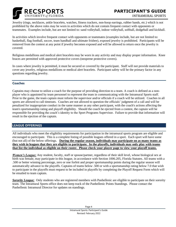

Jewelry (rings, necklaces, ankle bracelets, watches, fitness trackers, non-hoop earrings, rubber bands, etc.) which is not prohibited by the above rules may be worn in activities which do not contain frequent contact with opponents or teammates. Examples include, but are not limited to: sand volleyball, indoor volleyball, softball, dodgeball and kickball.

In activities which involve frequent contact with opponents or teammates (examples include, but are not limited to: basketball, flag football, soccer, team handball and ultimate frisbee), exposed jewelry is prohibited. Participants will be removed from the contest at any point if jewelry becomes exposed and will be allowed to return once the jewelry is covered.

Religious medallions and medical alert bracelets may be worn in any activity and may display proper information. Knee braces are permitted with approved protective covers (neoprene protective covers).

In cases where jewelry is permitted, it must be secured or covered by the participant. Staff will not provide materials to cover any jewelry, religious medallions or medical alert bracelets. Participant safety will be the primary factor in any questions regarding jewelry.

## **Coaches**

Captains may choose to utilize a coach for the purpose of providing direction to a team. A coach is defined as a nonplayer who is appointed by team personnel to represent the team in communicating with the Intramural Sports staff. Prior to the game, the team captain must inform the supervisor and/or officials if a coach will be utilized. Coaches in all sports are allowed to call timeouts. Coaches are not allowed to question the officials' judgment of a call and will be penalized for inappropriate conduct in the same manner as any other participant, with the coach's actions affecting the team's sportsmanship rating and playoff eligibility. Should the coach be ejected from a contest, the captain will be responsible for providing the coach's identity to the Sport Programs Supervisor. Failure to provide that information will result in the ejection of the captain.

## <span id="page-3-0"></span>**LEAGUE OFFERINGS**

All individuals who meet the eligibility requirements for participation in the intramural sports program are eligible and encouraged to participate. This is a complete listing of possible leagues offered in a sport. Each sport will have some (but not all) of the below offerings. **During the regular season, individuals may participate on as many teams as they wish in leagues that they are eligible to participate. In the playoffs, individuals may only play with teams that list the individual as eligible on their roster. Please check your player page to view your playoff teams.**

*Women's League:* Any student, faculty, staff or spouse/partner, regardless of their skill level, whose biological sex at birth was female, may participate in this league, in accordance with Section 1006.205, Florida Statutes. All teams with a .500 or better winning percentage, zero or one forfeit and proper sportsmanship points during the regular season will automatically advance to the playoffs. Captains of teams below .500 or with a sportsmanship rating below 7.0 that wish to participate in the playoffs must request to be included in playoffs by completing the Playoff Request Form which will be emailed to team captain.

*Sorority League:* Only students who are registered members with Panhellenic are eligible to participate on their sorority team. The Intramural Sports office does not keep track of the Panhellenic Points Standings. Please contact the Panhellenic Intramural Director for updates on standings.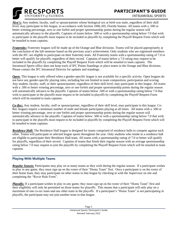

*Men's:* Any student, faculty, staff or spouse/partner whose biological sex at birth was male, regardless of their skill level, may participate in this league, in accordance with Section 1006.205, Florida Statues. All teams with a .500 or better winning percentage, zero or one forfeit and proper sportsmanship points during the regular season will automatically advance to the playoffs. Captains of teams below .500 or with a sportsmanship rating below 7.0 that wish to participate in the playoffs must request to be included in playoffs by completing the Playoff Request Form which will be emailed to team captains.

*Fraternity:* Fraternity leagues will be made up of the Orange and Blue divisions. Teams will be placed appropriately at the conclusion of the fall semester based on the previous year's achievement. Only students who are registered members with the IFC are eligible to participate on their fraternity team. All Fraternity teams with a sportsmanship rating of 7.0 or better will qualify for playoffs, regardless of their record. Captains of teams below a 7.0 rating may request to be included in the playoffs by completing the Playoff Request Form which will be emailed to team captains. The Intramural Sports office does not keep track of IFC Points Standings or place teams in the Orange and Blue divisions. Please contact the IFC Intramural Director for updates and standings.

*Open:* This league is only offered when a gender-specific league is not available for a specific activity. Open leagues do not have any gender-specific playing rules, including but not limited to team composition, participation and scoring. Any student, faculty, staff, or their spouse/partner, regardless of their skill level, may participate in this league. All teams with a .500 or better winning percentage, zero or one forfeit and proper sportsmanship points during the regular season will automatically advance to the playoffs. Captains of teams below .500 or with a sportsmanship rating below 7.0 that wish to participate in the playoffs must request to be included in playoffs by completing the Playoff Request Form which will be emailed to team captains.

*Co-Rec:* Any student, faculty, staff or spouse/partner, regardless of their skill level, may participate in this league. Co-Rec leagues require a minimum number of male and female participants playing at all times. All teams with a .500 or better winning percentage, zero or one forfeit and proper sportsmanship points during the regular season will automatically advance to the playoffs. Captains of teams below .500 or with a sportsmanship rating below 7.0 that wish to participate in the playoffs must request to be included in playoffs by completing the Playoff Request Form which will be emailed to team captains.

*Residence Hall:* The Residence Hall league is designed for teams comprised of residence halls to compete against each other. Teams will participate in selected league sports throughout the year. Only students who reside in a residence hall are eligible to participate their Residence Hall team. All teams with a sportsmanship rating of 7.0 or better will qualify for playoffs, regardless of their record. Captains of teams that finish their regular season with an average sportsmanship rating below 7.0 may request to join the playoffs by completing the Playoff Request Form which will be emailed to team captains.

## **Playing With Multiple Teams**

*Regular Season:* Participants may play on as many teams as they wish during the regular season. If a participant wishes to play in any game, they must sign up on the roster of their "Home Team" first. Once a participant is on the roster of their home team, they may participate on other teams in that league by checking in with the Supervisor on site and completing the "Rover Rule Form".

*Playoffs:* If a participant wishes to play in any game, they must sign up on the roster of their "Home Team" first and their eligibility will only be permitted on those teams for playoffs. This means that a participant will only play on a maximum of one co-rec team and one other team in the playoffs. If a participant's "Home Team" is not participating in playoffs, the participant may not join another team in that league.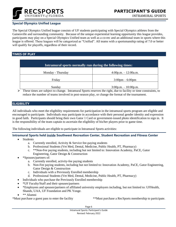

## **Special Olympics Unified League**

The Special Olympics Unified league consists of UF students participating with Special Olympics athletes from the Gainesville and surrounding community. Because of the unique experiential learning opportunity this league provides, participants may play on a Special Olympics Unified team as well as a co-rec and an additional team in sports where this league is offered. These leagues will be categorized as "Unified". All teams with a sportsmanship rating of 7.0 or better will qualify for playoffs, regardless of their record.

## <span id="page-5-0"></span>**TIMES OF PLAY**

| Intramural sports normally run during the following times: |                                   |
|------------------------------------------------------------|-----------------------------------|
| Monday - Thursday                                          | $4:00p.m. - 12:00a.m.$            |
| Friday                                                     | $3:00 \text{pm} - 6:00 \text{pm}$ |
| Sunday                                                     | $3:00p.m. - 10:00p.m.$            |

 $\triangleright$  These times are subject to change. Intramural Sports reserves the right, due to facility or time constraints, to reduce the number of teams involved in post-season play, or change the format of the tournament.

## <span id="page-5-1"></span>**ELIGIBILITY**

All individuals who meet the eligibility requirements for participation in the intramural sports program are eligible and encouraged to participate. Individuals may participate in accordance with their personal gender identity and expression in good faith. Participants should bring their own Gator 1 Card or government-issued photo identification to sign in. It is the responsibility of the team captain to ascertain the eligibility of his/her players prior to game time.

The following individuals are eligible to participate in Intramural Sports activities:

#### **Intramural Sports held inside Southwest Recreation Center, Student Recreation and Fitness Center**

- Students
	- a. Currently enrolled, Activity & Service fee-paying students
	- b. Professional Students (Vet Med, Dental, Medicine, Public Health, PT, Pharmacy)
	- c. \*\*Non-Fee paying students, including but not limited to: Innovation Academy, PaCE, Gator Engineering, Gator Design & Construction
- \*Spouses/partners of:
	- a. Currently enrolled, activity-fee paying students
	- b. Non-Fee paying students, including but not limited to: Innovation Academy, PaCE, Gator Engineering, Gator Design & Construction
	- c. Individuals with a Previously Enrolled membership
	- d. Professional Students (Vet Med, Dental, Medicine, Public Health, PT, Pharmacy)
- Individuals who purchase the Previously Enrolled membership
- \* UF Faculty/Staff and their spouses/partners
- \*Employees and spouses/partners of affiliated university employers including, but not limited to: UFHealth, Shands, UAA, UF Foundation and PK Yonge.
- $\bullet$  \*\* Alumni

\*Must purchase a guest pass to enter the facility \*\*Must purchase a RecSports membership to participate.

Page 6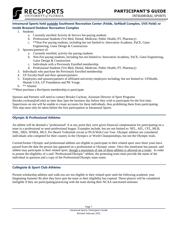



## **Intramural Sports held outside Southwest Recreation Center (Fields, Softball Complex, UVS Field) or inside Broward Outdoor Recreation Complex**

- 1. Students
	- a. Currently enrolled Activity & Service fee-paying students
	- b. Professional Students (Vet Med, Dental, Medicine, Public Health, PT, Pharmacy)
	- c. \*\*Non-Fee paying students, including but not limited to: Innovation Academy, PaCE, Gator Engineering, Gator Design & Construction
- 2. Spouses/partners of:
	- a. Currently enrolled, activity-fee paying students
	- b. Non-Fee paying students, including but not limited to: Innovation Academy, PaCE, Gator Engineering, Gator Design & Construction
	- c. Individuals with a Previously Enrolled membership
	- d. Professional Students (Vet Med, Dental, Medicine, Public Health, PT, Pharmacy)
- 3. Individuals who purchase the Previously Enrolled membership
- 4. UF Faculty/Staff and their spouses/partners
- 5. Employees and spouses/partners of affiliated university employers including, but not limited to: UFHealth, Shands UAA, UF Foundation and PK Yonge.
- 6. \*\* Alumni

\*\*Must purchase a RecSports membership to participate

Spouses and Partners will need to contact Brooke Cochran, Assistant Director of Sport Programs (brooke.cochran@ufl.edu) no later than 5pm the business day before they wish to participate for the first time. Supervisors on site will be unable to create accounts for these individuals, thus prohibiting them from participating. This step must only be taken before the first participation in Intramural Sports.

## **Olympic & Professional Athletes**

An athlete will be deemed a "professional" if at any point they were given financial compensation for participating on a team in a professional or semi-professional league. Examples include, but are not limited to: NFL, AFL, CFL, MLB, NHL, NBA, WNBA, MLS, Pro Beach Volleyball circuit or PGA/Web.Com Tour. Olympic athletes are considered individuals who competed for their country in the Olympics or World Championships, but not the Olympic trials.

Current/former Olympic and professional athletes are eligible to participate in their related sport once three years have passed from the date the person last appeared on a professional or Olympic roster. Once this timeframe has passed, said athlete may participate in their related sport, though a maximum of one of these athletes is allowed on a roster. In order to protest the eligibility of a said "Professional/Olympic" athlete, the protesting team must provide the name of the individual in question and a copy of the Professional/Olympic team roster.

## **Collegiate & Sport Club Athletes**

Present scholarship athletes and walk-ons are not eligible in their related sport until the following academic year (beginning Summer B) after they have quit the team or their eligibility has expired. These players will be considered ineligible if they are participating/practicing with the team during their NCAA sanctioned semester.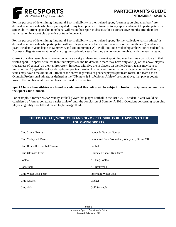

For the purpose of determining Intramural Sports eligibility in their related sport, "current sport club members" are defined as individuals who have participated in any team practice or traveled to any sport club event to participate with said club. "Current sport club members" will retain their sport club status for 12 consecutive months after their last participation in a sport club practice or traveling event.

For the purpose of determining Intramural Sports eligibility in their related sport, "former collegiate varsity athlete" is defined as individuals who participated with a collegiate varsity team in said related sport within three (3) academic years (academic years begin in Summer B and end in Summer A). Walk-ons and scholarship athletes are considered as "former collegiate varsity athletes" starting the academic year after they are no longer involved with the varsity team.

Current practice team players, former collegiate varsity athletes and current sport club members may participate in their related sport. In sports with less than four players on the field/court, a team may have only one (1) of the above players (regardless of gender) on their entire roster. In sports with five or six players on the field/court, teams may have a maximum of 2 (regardless of gender) players per team roster. In sports with seven or more players on the field/court, teams may have a maximum of 3 (total of the above regardless of gender) players per team roster. If a team has an Olympic/Professional athlete, as defined in the "Olympic & Professional Athlete" section above, that player counts toward the number of allowed athletes discussed in this section.

#### **Sport Clubs whose athletes are found in violation of this policy will be subject to further disciplinary action from the Sport Club Council.**

For example, a former NCAA varsity softball player that played softball in the 2017-2018 academic year would be considered a "former collegiate varsity athlete" until the conclusion of Summer A 2021. Questions concerning sport club player eligibility should be directed to jbroksa@ufl.edu

| THE COLLEGIATE, SPORT CLUB AND OLYMPIC ELIGIBILITY RULE APPLIES TO THE<br><b>FOLLOWING SPORTS:</b> |                                                   |  |
|----------------------------------------------------------------------------------------------------|---------------------------------------------------|--|
| <b>Club Soccer Teams</b>                                                                           | Indoor & Outdoor Soccer                           |  |
| Club Volleyball Teams                                                                              | Indoor and Sand Volleyball, Wallyball, Sitting VB |  |
| Club Baseball & Softball Teams                                                                     | Softball                                          |  |
| Club Ultimate Team                                                                                 | Ultimate Frisbee, Kan Jam®                        |  |
| Football                                                                                           | All Flag Football                                 |  |
| Basketball                                                                                         | All Basketball                                    |  |
| Club Water Polo Team                                                                               | Inner tube Water Polo                             |  |
| Club Cricket                                                                                       | Cricket                                           |  |
| Club Golf                                                                                          | Golf Scramble                                     |  |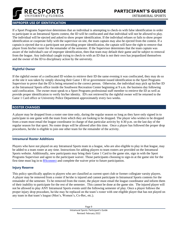

## <span id="page-8-0"></span>**IMPROPER USE OF IDENTIFICATION**

If a Sport Programs Supervisor determines that an individual is attempting to check-in with false identification in order to participate in an Intramural Sports contest, the ID will be confiscated and that individual will not be allowed to play. The individual will be ejected and asked to show proper identification. If the individual refuses or fails to show proper identification or cooperate fully with the supervisor on site, the team captain may also be ejected from the contest. If a captain is ejected due to a participant not providing proper identification, the captain will have the right to remove that player from his/her roster for the remainder of the semester. If the Supervisor determines that the team captain was aware of the individual's use of improper identification, then that team may default their game and be subject to removal from the league. Any individual caught trying to check-in with an ID that is not their own has jeopardized themselves and the owner of the ID to disciplinary action by the university.

## **Rightful Owner**

If the rightful owner of a confiscated ID wishes to retrieve their ID the same evening it was confiscated, they may do so at the site it was taken by simply showing their Gator 1 ID or government issued identification to the Sport Programs Supervisor to prove that the ID is being returned to the correct person. Otherwise, the individual may pick up his/her ID at the Intramural Sports office inside the Southwest Recreation Center beginning at 9 a.m. the business day following said confiscation. The owner must speak to a Sport Programs professional staff member to retrieve the ID as well as provide proper identification to verify his/her identity. ID's not retrieved by the rightful owner will be returned to the Gator 1 Card office or University Police Department approximately every two weeks.

## <span id="page-8-1"></span>**ROSTER CHANGES**

A player may be dropped from a roster one time only, during the regular season so long as they have only signed in to participate in one game with the team from which they are looking to be dropped. The player who wishes to be dropped from a team must email the league coordinator in charge of that particular activity by 4:30 p.m. on the last day of the regular season for that sport. No roster drops will be allowed after this time. Once a player has followed the proper drop procedures, he/she is eligible to join one other team for the remainder of the activity.

#### **Intramural Roster Additions**

Players who have not played on any Intramural Sports team in a league, who are also eligible to play in that league, may be added to a team roster at any time. Instructions for adding players to team rosters are provided on the Intramural Sports website. Additionally, new participants may bring their Gator 1 Card to the game site, sign in with the Sport Programs Supervisor and agree to the participant waiver. Those participants choosing to sign-in at the game site for the first time must log in to **RSconnect** and complete the waiver prior to future participation.

## **Injury Reserve**

This policy specifically applies to players who are classified as current sport club or former collegiate varsity players. A player may be removed from a roster if he/she is injured and cannot participate in Intramural Sports contests for the remainder of the semester. To be removed from the roster, the player must email the league coordinator and inform them of their inability to participate for the rest of the semester. This cannot be done at the game site. The injured player will not be allowed to play ANY Intramural Sports events until the following semester of play. Once a player follows the proper injury drop procedure, he/she may be replaced on the team's roster with one eligible player that has not played on any team in that team's league (Men's, Women's, Co-Rec, etc.).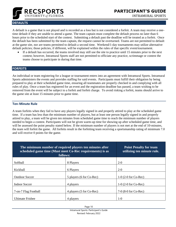

# <span id="page-9-0"></span>**DEFAULTS**

A default is a game that is not played and is recorded as a loss but is not considered a forfeit. A team may receive a onetime default if they are unable to attend a game. The team captain must complete the default process no later than 6 hours prior to the scheduled start of the contest. Submitting a default past the deadline will be treated as a forfeit. Once the default has been submitted by the team captain, the request cannot be overturned. Teams are not permitted to default at the game site, nor are teams permitted to default a second time. Weekend/1-day tournaments may utilize alternative default policies; those policies, if different, will be explained within the rules of that specific event/tournament.

• If a default has occurred, the teams involved may still use the site to practice until 15 minutes prior to the next contest; however, Intramural Sports staff are not permitted to officiate any practice, scrimmage or contest the teams choose to participate in during that time.

## <span id="page-9-1"></span>**FORFEITS**

An individual or team registering for a league or tournament enters into an agreement with Intramural Sports. Intramural Sports administers the events and provides staffing for said events. Participants must fulfill their obligation by being prepared to play at their scheduled game time, ensuring all teammates are properly checked in and complying with all rules of play. Once a team has registered for an event and the registration deadline has passed, a team wishing to be removed from the event will be subject to a forfeit and forfeit charge. To avoid risking a forfeit, teams should arrive to the game site at least 15 minutes prior to game time.

## **Ten-Minute Rule**

A team forfeits when they fail to have any players legally signed in and properly attired to play at the scheduled game time. If a team has less than the minimum number of players, but at least one person legally signed in and properly attired to play, a team will be given ten minutes from scheduled game time to reach the minimum number of players needed to begin a contest. Participants will not be given warm-up time for showing up after scheduled game time, and will be assessed the point penalty stated below. If the minimum number of players is not met at the end of 10-minutes, the team will forfeit the game. All forfeits result in the forfeiting team receiving a sportsmanship rating of minimum 7.0 and will receive 0 points for the game.

| The minimum number of required players ten minutes after<br>scheduled game time (Must meet Co-Rec requirements) is as<br>follows: |                          | <b>Point Penalty for team</b><br>utilizing ten minute rule. |
|-----------------------------------------------------------------------------------------------------------------------------------|--------------------------|-------------------------------------------------------------|
| Softball                                                                                                                          | 8 Players                | $2 - 0$                                                     |
| Kickball                                                                                                                          | 6 Players                | $2 - 0$                                                     |
| <b>Outdoor Soccer</b>                                                                                                             | 5 players (6 for Co-Rec) | $1-0$ (2-0 for Co-Rec)                                      |
| <b>Indoor Soccer</b>                                                                                                              | 4 players                | $1-0$ (2-0 for Co-Rec)                                      |
| 7-on-7 Flag Football                                                                                                              | 4 players (5 for Co-Rec) | $7-0$ (8-0 for Co-Rec)                                      |
| <b>Ultimate Frisbee</b>                                                                                                           | 4 players                | $1-0$                                                       |

Page 10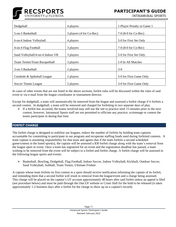

**FOCUS GROUPS** INTRAMURAL SPORTS

| Dodgeball                        | 4 players                | 1-Player Penalty in Game 1 |
|----------------------------------|--------------------------|----------------------------|
| 5-on-5 Basketball                | 3 players (4 for Co-Rec) | $7-0$ (8-0 for Co-Rec)     |
| 6-on-6 Indoor Volleyball         | 4 players                | 5-0 for First Set Only     |
| 4-on-4 Flag Football             | 3 players                | $7-0$ (8-0 for Co-Rec)     |
| Sand Volleyball/4-on-4 Indoor VB | 3 players                | 5-0 for First Set Only     |
| Team Tennis/Team Racquetball     | 3 players                | 1-0 In All Matches         |
| 3-on-3 Basketball                | 2 players                | $3-0$                      |
| Cornhole & Spikeball League      | 2 players                | 5-0 for First Game Only    |
| Soccer Tennis League             | 2 players                | 3-0 for First Game Only    |

In cases of other events that are not listed in the above sections, forfeit rules will be discussed within the rules of said event or via e-mail from the league coordinator or tournament director.

Except for dodgeball, a team will automatically be removed from the league and assessed a forfeit charge if it forfeits a second contest. In dodgeball, a team will be removed and charged for forfeiting in two separate days of play.

 $\triangleright$  If a forfeit has occurred, the teams involved may still use the site to practice until 15 minutes prior to the next contest; however, Intramural Sports staff are not permitted to officiate any practice, scrimmage or contest the teams participate in during that time.

## <span id="page-10-0"></span>**FORFEIT CHARGE**

The forfeit charge is designed to stabilize our leagues, reduce the number of forfeits by holding team captains accountable for committing to participate in our program and recuperate staffing funds used during forfeited contests. A team captain is assuming responsibility for that team and agrees that if the team forfeits a second scheduled game/contest in the listed sport(s), the captain will be assessed a \$30 forfeit charge along with the team's removal from the league sport or event. Once a team has registered for an event and the registration deadline has passed, a team wishing to be removed from the event will be subject to a forfeit and forfeit charge. A forfeit charge will be assessed in the following league sports and events:

➢ Basketball, Bowling, Dodgeball, Flag Football, Indoor Soccer, Indoor Volleyball, Kickball, Outdoor Soccer, Sand Volleyball, Softball, Team Tennis, Ultimate Frisbee

A captain whose team forfeits its first contest in a sport should receive notification informing the captain of its forfeit, and reminding them that a second forfeit will result in removal from the league/event and a charge being assessed. This charge will be placed on the captain's UF account approximately 48 hours after said forfeit unless an appeal is filed (see procedure below) and must be paid through the One.UF website or Criser Hall for the hold to be released (it takes approximately 1-2 business days after a forfeit for the charge to show up on a captain's record).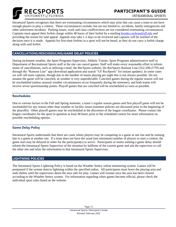

Intramural Sports recognizes that there are extenuating circumstances which may arise that can cause a team to not have enough players to play a contest. These circumstances include, but are not limited to: accidents, family emergencies and other unforeseen incidents. Parking issues, work and class conflicts/tests are not considered extenuating circumstances. Captains must appeal their forfeit charge within 48 hours of their forfeit by e-mailing [brooke.cochran@ufl.edu](mailto:brooke.cochran@ufl.edu) and providing the reason for said appeal. Appeals may take 1-2 days to be reviewed and captains will be notified of the decision once it is made. Appeals for first-time forfeits in a sport will not be heard, as they do not carry a forfeit charge along with said forfeit.

# <span id="page-11-0"></span>**CANCELLATIONS/RESCHEDULING/GAME DELAY POLICIES**

During inclement weather, the Sport Programs Supervisor, Athletic Trainer, Sport Programs administrative staff or Department of Recreational Sports staff at the site can cancel games. Staff will make every reasonable effort to inform teams of cancellations, such as utilizing e-mail, the RecSports website, the RecSports Rainout Line (352-200-2779) and through the "Rainout Line" app (download application and search "UF RecSports" for instant updates). In some cases we will call team captains, though due to the number of teams playing per night this is not always possible. Do not assume the game will be canceled, as weather is very unpredictable. Canceled games during the regular season will not be rescheduled (unless unusual weather circumstances occur frequently during the semester), and both teams will receive seven sportsmanship points. Playoff games that are canceled will be rescheduled as soon as possible.

## **Reschedules**

Due to various factors in the Fall and Spring semester, a team's regular season games and first playoff game will not be rescheduled for any reason other than weather or facility issues (summer policies are discussed prior to the beginning of the playoffs). Other playoff games may be rescheduled at the discretion of the league coordinator. Please contact the league coordinator for the sport in question at least 48 hours prior to the scheduled contest for more information on possible rescheduling options.

## **Game Delay Policy**

Intramural Sports understands that there are cases where players may be competing in a game at one site and be running late to a game at another site. If a team does not have the usual (not minimum) number of players to start a contest, the game start may be delayed in order for the participant(s) to arrive. Participants or teams seeking a game delay should inform the Intramural Sports Supervisor of the situation by halftime of the current game and ask the supervisor to call the other site and relay the information to that Intramural Sports Supervisor.

## <span id="page-11-1"></span>**LIGHTNING POLICIES**

The Intramural Sports Lightning Policy is based on the Weather Sentry online monitoring system. Games will be postponed if the system detects lightning within the specified radius. All participants must leave the playing area and seek shelter until the supervisors deem the area safe for play. Games will resume once the area has been cleared according to the Weather Sentry system. For information regarding when games become official, please check the individual sport rules listed on the website.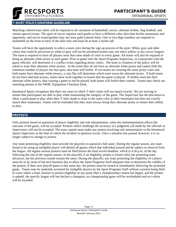

# <span id="page-12-0"></span>**T-SHIRT POLICY/UNIFORM GUIDELINE**

Matching colored team shirts will be required in all variations of basketball, soccer, ultimate frisbee, flag football, and certain special events. The sport of soccer requires each goalie to have a different color shirt than his/her teammates and opponents, and soccer teams/goalies may not wear gold-colored shirts. One or two-digit numbers are required in basketball on the front or back of the shirt only and must be at least 3 inches tall.

Teams will have the opportunity to select a team color during the sign up process of the sport. White, gray and other colors that could be perceived as white or gray will not be permitted (teams may not select yellow in any soccer league). The team is required to have all players wear that same shade of color to every game. All teams will also be required to bring an alternate white jersey to each game. Prior to game time the Sport Programs Supervisor, in conjunction with the game officials, will determine if a conflict exists regarding jersey colors. The team in violation of the policy will be asked to wear their alternate white jerseys. In the event they do not have an alternate white jersey and cannot field the minimum number of players for that sport, that team will forfeit. If two teams are wearing the same jersey color and both teams have alternate white jerseys, a coin flip will determine which team wears the alternate jersey. If both teams do not have alternate jerseys, teams must work together to ensure that the game is played. If neither team has their alternate white jerseys, thus causing a game to not be played, both teams will forfeit their contest. Teams may check out matching pinnies at the SWRC Equipment Checkout Desk.

Intramural Sports recognizes that there are cases in which T-shirt colors will not match exactly. We are striving to ensure that participants are able to play while maintaining the integrity of the game. The Supervisor has the discretion to allow a participant to play when their T-shirt shade is close to the same color as their teammates but does not exactly match their teammates. Teams will be reminded that they must always bring their alternate jersey to ensure their ability to play.

## <span id="page-12-1"></span>**PROTESTS**

Only protests based on questions of player eligibility and rule interpretation, when the misinterpretation affects the outcome of the game, will be accepted. Protests which challenge the accuracy of a judgment call made by the officials or Supervisors will not be accepted. The team captain must make any protest involving rule interpretation to the Intramural Sports Supervisor at the time of which the incident in question occurs. Once a situation has passed, however, it is no longer subject to change or protest.

Any team protesting eligibility must provide the player(s) in question's full name. During the regular season, any team found to be using an ineligible player will default all games which that individual played and be subject to removal from the league. All regular season protests must be filed before the final record deadline, which is 4:30 p.m. of the day following the end of the regular season. In the playoffs, if an eligibility protest is found valid, the protesting team advances, but the previous rounds remain the same. During the playoffs, any team protesting the eligibility of a player must do so by noon of the next business day to allow the Sport Programs Staff adequate time to determine the validity of the protest. If their next playoff game is that same day, the protest must be turned in immediately following the protested game. Teams may be randomly screened for ineligible players by the Sport Programs Staff without a protest being filed. In cases where a team chooses to protest eligibility at any point after a championship contest has begun, and the protest is upheld, the specific league will not declare a champion, no championship game will be rescheduled and no t-shirts will be awarded.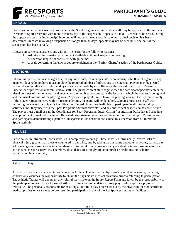

## <span id="page-13-0"></span>**APPEALS**

Decisions on participant suspensions made by the Sport Programs administrative staff may be appealed to the Associate Director of Sport Programs within one business day of the suspension. Appeals will take 1-2 weeks to be heard. During the appeals process the individual(s) involved will not be allowed to participate until a final decision has been determined. In cases involving a suspension of longer than 30 days, appeals may not be filed until one-half of the suspension has been served.

Appeals on participant suspensions will only be heard for the following reasons:

- 1. Additional information provided not available at time of suspension meeting.
- 2. Suspension length not consistent with guidelines.
- ➢ Appeals concerning forfeit charges are explained in the "Forfeit Charge" section of the Participant's Guide.

# <span id="page-13-1"></span>**EJECTIONS**

Intramural Sports reserves the right to eject any individual, team or spectator who interrupts the flow of a game in any manner. Players do not have to accumulate the required number of infractions to be ejected. Players may be ejected before, during or after any contest and ejections can be made by any official on the contest or any Sport Programs Supervisor or professional/administrative staff. The jurisdiction of staff begins when the participant/spectator enters the visual confines of the field/court and ends when the involved persons leave the facility in which the contest is being held and the visual confines of the playing area. Any ejected player(s) must leave the playing area and facility immediately. If the player refuses to leave within a reasonable time, the game will be defaulted. Captains must assist staff with retrieving the ejected participant's identification. Ejected players are ineligible to participate in all Intramural Sports activities until they meet with the Sport Programs administrative staff and any subsequent suspension has been served. The player must e-mail or call the Coordinator for Sport Programs, Justin Griffin (justingriffin@ufl.edu) and schedule an appointment to seek reinstatement. Repeated unsportsmanlike issues will be monitored by the Sport Programs staff and participants demonstrating a pattern of unsportsmanlike behavior are subject to suspension from all Intramural Sports activities.

## <span id="page-13-2"></span>**INJURIES**

Participation in Intramural Sports activities is completely voluntary. These activities intrinsically involve risks of physical injury greater than those encountered in daily life, and by taking part in sports and other activities, participants acknowledge and assume risks inherent therein. Intramural Sports does not carry accident or injury insurance to cover participants in sports activities. Therefore, all students are strongly urged to purchase health insurance before participating in any activity.

## **Return to Play**

Any participant that sustains an injury where the Athletic Trainer feels a physician's referral is necessary, including concussions, assumes the responsibility to obtain the physician's medical clearance prior to returning to participation. The Athletic Trainer will document any referral they make on the Injury Report Form and it will be the responsibility of the participant to ensure they follow all Athletic Trainer recommendations. Any player who requires a physician's referral will be personally responsible for ensuring all return to play criteria set out by the physician (or other certified medical professional) are met before resuming participation in any of the RecSports programs or facilities.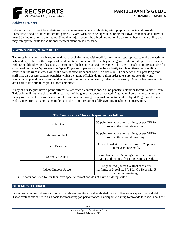

## **Athletic Trainers**

Intramural Sports provides athletic trainers who are available to evaluate injuries, prep participants and provide immediate first aid at most intramural games. Players wishing to be taped must bring their own white tape and arrive at least 30 minutes prior to their game. Should an injury occur, the athletic trainer will treat to the best of their ability and may refer participants for additional medical attention as necessary.

## <span id="page-14-0"></span>**PLAYING RULES/MERCY RULES**

The rules in all sports are based on national association rules with modifications, when appropriate, to make the activity safe and enjoyable for the players while attempting to maintain the identity of the game. Intramural Sports reserves the right to modify playing rules at any time to meet the best interests of the league. The rules of each sport are available for download on the RecSports website. Sport Programs Supervisors have the authority to rule on items not specifically covered in the rules in cases which the contest officials cannot come to a decision. The supervisor or Sport Programs staff may also assess conduct penalties which the game officials do not call in order to ensure proper safety and sportsmanship, and may default, end games prior to normal conclusion, if deemed necessary. A game becomes official after half of its normal length has been completed.

Many of our leagues have a point differential at which a contest is ended at no penalty, default or forfeit, to either team. This point will not take place until at least half of the game has been completed. A game will be concluded when the mercy rule is reached regardless if both the winning and losing team wish to continue play. Sport Programs staff may end a game prior to its normal completion if the teams are purposefully avoiding reaching the mercy rule.

| The "mercy rules" for each sport are as follows: |                                                                                                                   |  |
|--------------------------------------------------|-------------------------------------------------------------------------------------------------------------------|--|
| <b>Flag Football</b>                             | 50 point lead at or after halftime, or per NIRSA<br>rules at the 2-minute warning.                                |  |
| 4-on-4 Football                                  | 50 point lead at or after halftime, or per NIRSA<br>rules at the 2-minute warning.                                |  |
| 5-on-5 Basketball                                | 35 point lead at or after halftime, or 20 points<br>at the 2-minute mark.                                         |  |
| Softball/Kickball                                | 12 run lead after 3.5 innings; both teams must<br>bat in said innings if visiting team is ahead.                  |  |
| Indoor/Outdoor Soccer                            | 10 goal lead (20 for Co-Rec) at or after<br>halftime, or 5 goal lead (14 for Co-Rec) with 5<br>minutes remaining. |  |

➢ Sports not listed follow their own specific format and do not have a "Mercy Rule."

## <span id="page-14-1"></span>**OFFICIAL'S FEEDBACK**

During each contest intramural sports officials are monitored and evaluated by Sport Programs supervisors and staff. These evaluations are used as a basis for improving job performance. Participants wishing to provide feedback about the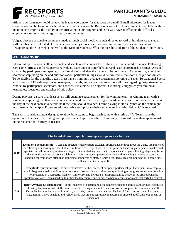

official's performance should contact the league coordinator for that sport by e-mail. E-mail addresses for league coordinators can be found on each individual sport's page on the RecSports website. These comments should be with the intent to help improve the quality of the officiating in our program and in no way have an effect on the official's employment status or future regular season assignments.

Vulgar, obscene or abusive comments made through social media channels directed toward or in reference to student staff members are prohibited. Offenders may be subject to suspension from intramural sports activities and/or RecSports facilities as well as referral to the Dean of Students Office for possible violation of the Student Honor Code.

## <span id="page-15-0"></span>**SPORTSMANSHIP**

Intramural Sports expects all participants and spectators to conduct themselves in a sportsmanlike manner. Following each game, officials and/or supervisors evaluate team and spectator behavior and issue sportsmanship ratings. Acts and conduct by participants and spectators before, during and after the game will be considered. Captains may view their sportsmanship rating online and questions about particular ratings should be directed to the sport's league coordinator. To be eligible for the playoffs, a team must have a minimum average sportsmanship rating of seven. Recreational Sports at University of Florida requires scorekeepers, officials, and supervisors to enforce all rules regarding unsportsmanlike conduct by participants, spectators, and coaches. Violators will be ejected. It is strongly suggested you remind all teammates, spectators and coaches of this policy.

During playoffs, a score of at least seven will guarantee advancement for the winning team. A winning team with a sportsmanship rating less than seven must contact and meet with the league coordinator of said sport no later than noon the day of the next contest to determine if the team should advance. Teams playing multiple games on the same night must meet with the Sport Programs administrative staff prior to their next contest if a rating below 7.0 is received.

The sportsmanship rating is designed to allow both teams to begin each game with a rating of 7. Teams have the opportunity to elevate their rating with positive acts of sportsmanship. Conversely, teams will have their sportsmanship rating reduced for a variety of reasons.

| The breakdown of sportsmanship ratings are as follows: |                                                                                                                                                                                                                                                                                                                                                                                                                                                                                                                                                                                                                                                                    |  |  |
|--------------------------------------------------------|--------------------------------------------------------------------------------------------------------------------------------------------------------------------------------------------------------------------------------------------------------------------------------------------------------------------------------------------------------------------------------------------------------------------------------------------------------------------------------------------------------------------------------------------------------------------------------------------------------------------------------------------------------------------|--|--|
| $8 - 10$                                               | <b>Excellent Sportsmanship</b> - Team and spectators demonstrate excellent sportsmanship throughout the game. Examples of<br>excellent sportsmanship include, but are not limited to: Respect shown to the game and staff by participants, coaches and<br>spectators at all times, appropriate verbiage to others, shaking hands with opponents after game, helping players up from<br>the ground, avoiding excessive celebration, maintaining complete cooperation and managing emotions of team and<br>cheering for team more often than criticizing opponents or staff. Games defaulted at least six hours prior to game time<br>will also merit a rating of 8. |  |  |
| 7                                                      | Acceptable Sportsmanship - Team demonstrates neither excellent nor poor sportsmanship. Participants may display<br>small disagreements/frustrations with decisions of staff/officials. Infrequent questioning of judgment/rules interpretation<br>not presented in a respectful manner. Minor isolated incidents of unsportsmanlike behavior towards opponents,<br>spectators or staff. Teams needing to utilize the ten-minute rule in order to begin a contest or teams that forfeit a contest.                                                                                                                                                                  |  |  |
| $5-6$                                                  | <b>Below Average Sportsmanship</b> – Some incidents of questioning of judgment/officiating abilities and/or public gestures<br>showing displeasure with staff. Some incidents of unsportsmanlike behavior towards opponents, spectators or staff.<br>Examples include, but are not limited to, trash talk, cursing in any manner. Technical fouls, unsportsmanlike conduct<br>flags, administrative penalties and yellow cards that are not aggressive in nature nor directed at officials, opponents or<br>spectators.                                                                                                                                            |  |  |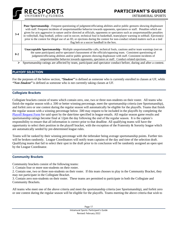

**3-4 Poor Sportsmanship -** Frequent questioning of judgment/officiating abilities and/or public gestures showing displeasure with staff. Frequent incidents of unsportsmanlike behavior towards opponents, spectators or staff. Penalties which are given for acts aggressive in nature and/or directed at officials, opponents or spectators such as unsportsmanlike penalties in volleyball, flag football, yellow card in soccer, technical foul in basketball, team/player warning in softball. Ejection(s) prior to the contest for illegal use of an ID, or ejections during the contest for non-conduct related matters such as a tied flag belt or a soccer handball in the box.

**Unacceptable Sportsmanship -** Multiple unsportsmanlike calls, technical fouls, cautions and/or team warnings (not on the same participant) and/or spectator's harassment of the officials/opposing team. Consistent questioning of judgment/officiating abilities and/or public gestures showing displeasure with staff. Consistent incidents of unsportsmanlike behavior towards opponents, spectators or staff. Conduct-related ejections.

 $\triangleright$  Sportsmanship ratings are affected by team, participant and spectator conduct before, during and after a contest.

## <span id="page-16-0"></span>**PLAYOFF SELECTION**

**0-2**

For the purposes of the below section, *"Student"* is defined as someone who is currently enrolled in classes at UF, while *"Non-Student"* is defined as someone who is not currently taking classes at UF.

## **Collegiate Brackets**

Collegiate brackets consist of teams which contain zero, one, two or three non-students on their roster. All teams who finish the regular season with a .500 or better winning percentage, meet the sportsmanship criteria (see Sportsmanship), and forfeit zero or one contest during the regular season will automatically be eligible for the playoffs. Teams that finish the regular season with a winning percentage below .500 may request to be included in the playoffs by completing the [Playoff Request Form](https://docs.google.com/forms/d/e/1FAIpQLScQeA9Uo9zNIFjXaKjETSx1bkmkyr5ORUOCE_X98oZ_OukCWg/viewform) for said sport by the date/time specified in league emails. All regular season game results and sportsmanship ratings become final at 12pm the day following the end of the regular season. It is the captain's responsibility to ensure that all information is correct prior to that deadline. All qualifying teams will have the opportunity to select their position in the playoff bracket, with the exception of the Fraternity  $\&$  Sorority league which are automatically seeded by pre-determined league rules.

Teams will be ranked by their winning percentage with the tiebreaker being average sportsmanship points. Further ties will be broken randomly. League Coordinators will notify team captains of the day and time of the selection draft. Qualifying teams that fail to select their spot in the draft prior to its conclusion will be randomly assigned an open spot by the League Coordinator.

#### **Community Brackets**

Community brackets consist of the following teams:

1. Contain four or more non-students on their roster.

2. Contain one, two or three non-students on their roster. If this team chooses to play in the Community Bracket, they may not participate in the Collegiate Bracket.

3. Contain zero non-students on their roster. These teams are permitted to participate in both the Collegiate and Community Brackets.

All teams who meet one of the above criteria and meet the sportsmanship criteria (see Sportsmanship), and forfeit zero or one contest during the regular season will be eligible for the playoffs. Teams meeting the above criteria that wish to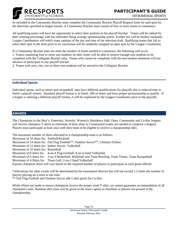

be included in the Community Bracket must complete the Community Bracket Playoff Request form for said sport by the date/time specified in league emails. A Community Bracket must consist of four or more teams to commence.

All qualifying teams will have the opportunity to select their position in the playoff bracket. Teams will be ranked by their winning percentage with the tiebreaker being average sportsmanship points. Further ties will be broken randomly. League Coordinators will notify team captains of the day and time of the selection draft. Qualifying teams that fail to select their spot in the draft prior to its conclusion will be randomly assigned an open spot by the League Coordinator.

If a Community Bracket does not meet the number of teams needed to commence, the following will occur: 1. Teams containing four or more non-students on their roster will be able to remove enough non-students to be compliant with the Collegiate Bracket rules. Teams who cannot be compliant with the non-student minimum will not advance or participate in any playoff bracket.

2. Teams with zero, one, two or three non-students will be moved to the Collegiate Bracket.

## **Individual Sports**

Individual sports, such as tennis and racquetball, may have different qualifications for playoffs due to reduced time to finish a playoff system. Standard playoff format is to finish .500 or better and have proper sportsmanship to qualify. If a league is utilizing a different playoff format, it will be explained by the League Coordinator prior to the playoffs.

## <span id="page-17-0"></span>**AWARDS**

The Champions in the Men's, Fraternity, Sorority, Women's, Residence Hall, Open, Community and Co-Rec leagues will receive champion T-shirts (a minimum of three (four in Community) teams are needed to comprise a league). Players must participate at least once with their team to be eligible to receive a championship shirt.

The maximum number of shirts allocated to a championship team is as follows: Maximum of 16 shirts for: Softball/Kickball Maximum of 14 shirts for: Fall Flag Football\*\*, Outdoor Soccer\*\*, Ultimate Frisbee Maximum of 12 shirts for: Indoor Soccer, Volleyball Maximum of 10 shirts for: Basketball Maximum of 8 shirts for: 4-on-4 Flag Football, 4-on-4 Sand Volleyball Maximum of 6 shirts for: 3-on-3 Basketball, Wallyball and Team Bowling, Team Tennis, Team Racquetball Maximum of 4 Shirts for: Team Golf, 2-on-2 Sand Volleyball Esports champion shirts will vary based on the required number of players to participate in each game offered.

\*Allocations for other events will be determined by the tournament director but will not exceed 1.5 times the number of players playing on a team at one time.

\*\* Fall Flag Football and Outdoor Soccer add 1 shirt given for Co-Rec.

While efforts are made to ensure champions receive the proper sized T-shirt, we cannot guarantee accommodation of all champion's sizes. Random shirt sizes will be given to the team captain to distribute to players not present at the championship.